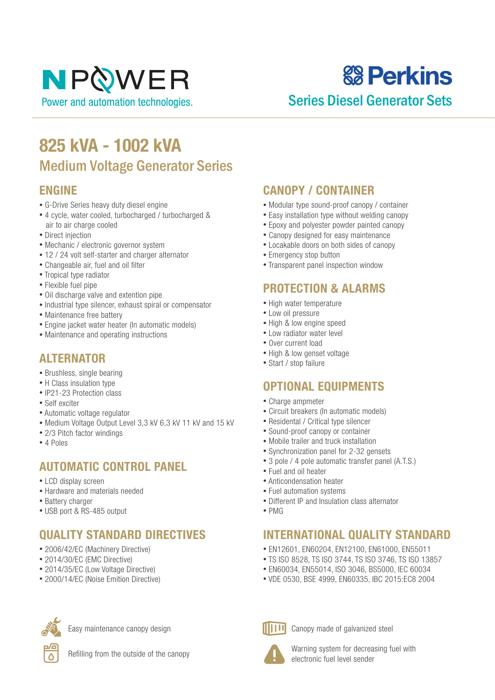**& Perkins** 

### Series Diesel Generator Sets

## **825 kVA - 1002 kVA** Medium Voltage Generator Series

#### **ENGINE**

- G-Drive Series heavy duty diesel engine
- 4 cycle, water cooled, turbocharged / turbocharged & air to air charge cooled
- Direct injection
- Mechanic / electronic governor system
- 12 / 24 volt self-starter and charger alternator
- Changeable air, fuel and oil filter
- Tropical type radiator
- Flexible fuel pipe
- Oil discharge valve and extention pipe
- Industrial type silencer, exhaust spiral or compensator
- Maintenance free battery
- Engine jacket water heater (In automatic models)
- Maintenance and operating instructions

#### **ALTERNATOR**

- Brushless, single bearing
- H Class insulation type
- IP21-23 Protection class
- Self exciter
- Automatic voltage regulator
- Medium Voltage Output Level 3,3 kV 6,3 kV 11 kV and 15 kV
- 2/3 Pitch factor windings
- 4 Poles

#### **AUTOMATIC CONTROL PANEL**

- LCD display screen
- Hardware and materials needed
- Battery charger
- USB port & RS-485 output

#### **QUALITY STANDARD DIRECTIVES**

- 2006/42/EC (Machinery Directive)
- 2014/30/EC (EMC Directive)
- 2014/35/EC (Low Voltage Directive)
- 2000/14/EC (Noise Emition Directive)



Easy maintenance canopy design

Refilling from the outside of the canopy

#### **CANOPY / CONTAINER**

- Modular type sound-proof canopy / container
- Easy installation type without welding canopy
- Epoxy and polyester powder painted canopy
- Canopy designed for easy maintenance
- Locakable doors on both sides of canopy
- Emergency stop button
- Transparent panel inspection window

#### **PROTECTION & ALARMS**

- High water temperature
- Low oil pressure
- High & low engine speed
- Low radiator water level
- Over current load
- High & low genset voltage
- Start / stop failure

#### **OPTIONAL EQUIPMENTS**

- Charge ampmeter
- Circuit breakers (In automatic models)
- Residental / Critical type silencer
- Sound-proof canopy or container
- Mobile trailer and truck installation
- Synchronization panel for 2-32 gensets
- 3 pole / 4 pole automatic transfer panel (A.T.S.)
- Fuel and oil heater
- Anticondensation heater
- Fuel automation systems
- Different IP and Insulation class alternator
- PMG

#### **INTERNATIONAL QUALITY STANDARD**

- EN12601, EN60204, EN12100, EN61000, EN55011
- TS ISO 8528, TS ISO 3744, TS ISO 3746, TS ISO 13857
- EN60034, EN55014, ISO 3046, BS5000, IEC 60034
- VDE 0530, BSE 4999, EN60335, IBC 2015:EC8 2004



Canopy made of galvanized steel

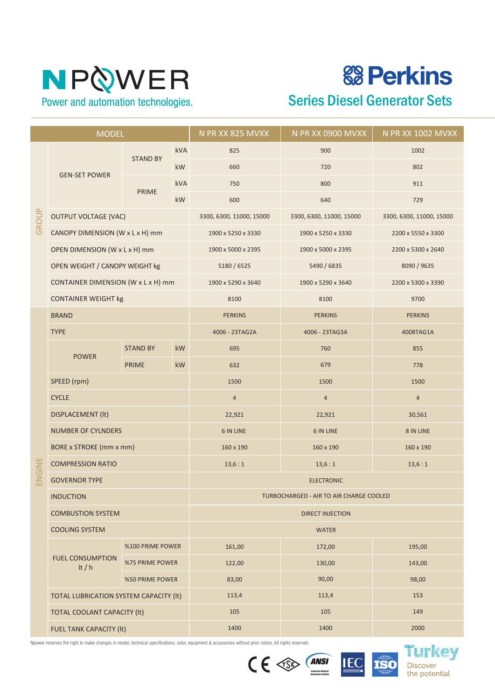**& Perkins** 

### Series Diesel Generator Sets

| <b>MODEL</b> |                                        |                  |            | N PR XX 825 MVXX                               | N PR XX 0900 MVXX        | N PR XX 1002 MVXX        |  |
|--------------|----------------------------------------|------------------|------------|------------------------------------------------|--------------------------|--------------------------|--|
| GROUP        | <b>GEN-SET POWER</b>                   |                  | <b>kVA</b> | 825                                            | 900                      | 1002                     |  |
|              |                                        | <b>STAND BY</b>  | kW         | 660                                            | 720                      | 802                      |  |
|              |                                        |                  | <b>kVA</b> | 750                                            | 800                      | 911                      |  |
|              |                                        | <b>PRIME</b>     | kW         | 600<br>640                                     |                          | 729                      |  |
|              | <b>OUTPUT VOLTAGE (VAC)</b>            |                  |            | 3300, 6300, 11000, 15000                       | 3300, 6300, 11000, 15000 | 3300, 6300, 11000, 15000 |  |
|              | CANOPY DIMENSION (W x L x H) mm        |                  |            | 1900 x 5250 x 3330                             | 1900 x 5250 x 3330       | 2200 x 5550 x 3300       |  |
|              | OPEN DIMENSION (W x L x H) mm          |                  |            | 1900 x 5000 x 2395                             | 1900 x 5000 x 2395       | 2200 x 5300 x 2640       |  |
|              | OPEN WEIGHT / CANOPY WEIGHT kg         |                  |            | 5180 / 6525                                    | 5490 / 6835              | 8090 / 9635              |  |
|              | CONTAINER DIMENSION (W x L x H) mm     |                  |            | 1900 x 5290 x 3640                             | 1900 x 5290 x 3640       | 2200 x 5300 x 3390       |  |
|              | <b>CONTAINER WEIGHT kg</b>             |                  |            | 8100                                           | 8100                     | 9700                     |  |
|              | <b>BRAND</b>                           |                  |            | <b>PERKINS</b>                                 | <b>PERKINS</b>           | <b>PERKINS</b>           |  |
|              | <b>TYPE</b>                            |                  |            | 4006 - 23TAG2A                                 | 4006 - 23TAG3A           | 4008TAG1A                |  |
|              | <b>POWER</b>                           | <b>STAND BY</b>  | kW         | 695                                            | 760                      | 855                      |  |
|              |                                        | <b>PRIME</b>     | kW         | 632                                            | 679                      | 778                      |  |
|              | SPEED (rpm)                            |                  |            | 1500                                           | 1500                     | 1500                     |  |
|              | <b>CYCLE</b>                           |                  |            | $\overline{4}$                                 | $\overline{4}$           | $\overline{a}$           |  |
|              | DISPLACEMENT (It)                      |                  |            | 22,921                                         | 22,921                   | 30,561                   |  |
|              | <b>NUMBER OF CYLNDERS</b>              |                  |            | <b>6 IN LINE</b>                               | <b>6 IN LINE</b>         | 8 IN LINE                |  |
|              | BORE x STROKE (mm x mm)                |                  |            | 160 x 190                                      | 160 x 190                | 160 x 190                |  |
| ENGINE       | <b>COMPRESSION RATIO</b>               |                  |            | 13,6:1                                         | 13,6:1<br>13,6:1         |                          |  |
|              | <b>GOVERNOR TYPE</b>                   |                  |            | <b>ELECTRONIC</b>                              |                          |                          |  |
|              | <b>INDUCTION</b>                       |                  |            | <b>TURBOCHARGED - AIR TO AIR CHARGE COOLED</b> |                          |                          |  |
|              | <b>COMBUSTION SYSTEM</b>               |                  |            | <b>DIRECT INJECTION</b>                        |                          |                          |  |
|              | <b>COOLING SYSTEM</b>                  |                  |            | <b>WATER</b>                                   |                          |                          |  |
|              |                                        | %100 PRIME POWER |            | 161,00                                         | 172,00                   | 195,00                   |  |
|              | <b>FUEL CONSUMPTION</b><br>It $/h$     | %75 PRIME POWER  |            | 122,00                                         | 130,00                   | 143,00                   |  |
|              |                                        | %50 PRIME POWER  |            | 83,00                                          | 90,00                    | 98,00                    |  |
|              | TOTAL LUBRICATION SYSTEM CAPACITY (It) |                  |            | 113,4                                          | 113,4                    | 153                      |  |
|              | <b>TOTAL COOLANT CAPACITY (It)</b>     |                  |            | 105                                            | 105                      | 149                      |  |
|              | FUEL TANK CAPACITY (It)                |                  |            | 1400                                           | 1400                     | 2000                     |  |





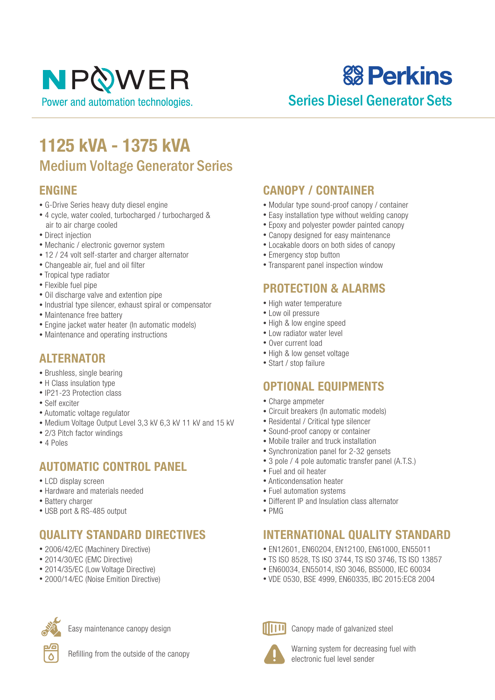# NPOWER

Power and automation technologies.

# **& Perkins**

### Series Diesel Generator Sets

## **1125 kVA - 1375 kVA** Medium Voltage Generator Series

#### **ENGINE**

- G-Drive Series heavy duty diesel engine
- 4 cycle, water cooled, turbocharged / turbocharged & air to air charge cooled
- Direct injection
- Mechanic / electronic governor system
- 12 / 24 volt self-starter and charger alternator
- Changeable air, fuel and oil filter
- Tropical type radiator
- Flexible fuel pipe
- Oil discharge valve and extention pipe
- Industrial type silencer, exhaust spiral or compensator
- Maintenance free battery
- Engine jacket water heater (In automatic models)
- Maintenance and operating instructions

#### **ALTERNATOR**

- Brushless, single bearing
- H Class insulation type
- IP21-23 Protection class
- Self exciter
- Automatic voltage regulator
- Medium Voltage Output Level 3,3 kV 6,3 kV 11 kV and 15 kV
- 2/3 Pitch factor windings
- 4 Poles

#### **AUTOMATIC CONTROL PANEL**

- LCD display screen
- Hardware and materials needed
- Battery charger
- USB port & RS-485 output

#### **QUALITY STANDARD DIRECTIVES**

- 2006/42/EC (Machinery Directive)
- 2014/30/EC (EMC Directive)
- 2014/35/EC (Low Voltage Directive)
- 2000/14/EC (Noise Emition Directive)



Easy maintenance canopy design

Refilling from the outside of the canopy

#### **CANOPY / CONTAINER**

- Modular type sound-proof canopy / container
- Easy installation type without welding canopy
- Epoxy and polyester powder painted canopy
- Canopy designed for easy maintenance
- Locakable doors on both sides of canopy
- Emergency stop button
- Transparent panel inspection window

#### **PROTECTION & ALARMS**

- High water temperature
- Low oil pressure
- High & low engine speed
- Low radiator water level
- Over current load
- High & low genset voltage
- Start / stop failure

#### **OPTIONAL EQUIPMENTS**

- Charge ampmeter
- Circuit breakers (In automatic models)
- Residental / Critical type silencer
- Sound-proof canopy or container
- Mobile trailer and truck installation
- Synchronization panel for 2-32 gensets
- 3 pole / 4 pole automatic transfer panel (A.T.S.)
- Fuel and oil heater
- Anticondensation heater
- Fuel automation systems
- Different IP and Insulation class alternator
- PMG

#### **INTERNATIONAL QUALITY STANDARD**

- EN12601, EN60204, EN12100, EN61000, EN55011
- TS ISO 8528, TS ISO 3744, TS ISO 3746, TS ISO 13857
- EN60034, EN55014, ISO 3046, BS5000, IEC 60034
- VDE 0530, BSE 4999, EN60335, IBC 2015:EC8 2004



Canopy made of galvanized steel

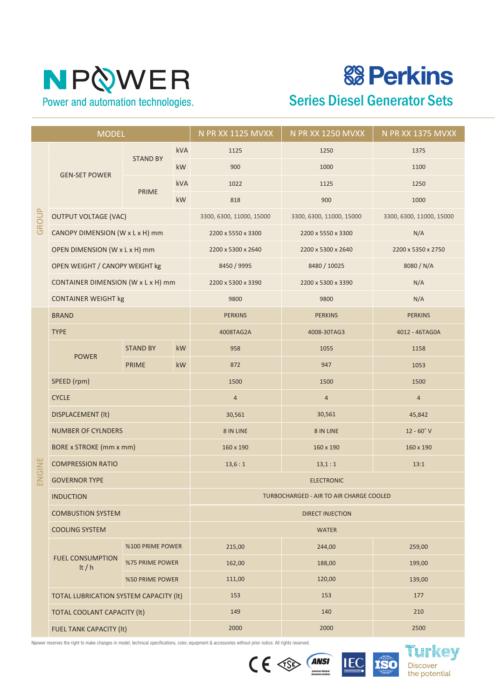# **& Perkins**

### Series Diesel Generator Sets

| <b>MODEL</b> |                                        |                                    |            | <b>N PR XX 1125 MVXX</b><br>N PR XX 1250 MVXX |                          | N PR XX 1375 MVXX        |  |
|--------------|----------------------------------------|------------------------------------|------------|-----------------------------------------------|--------------------------|--------------------------|--|
| GROUP        | <b>GEN-SET POWER</b>                   |                                    | kVA        | 1125                                          | 1250                     |                          |  |
|              |                                        | <b>STAND BY</b>                    | <b>kW</b>  | 900                                           | 1000                     | 1100                     |  |
|              |                                        |                                    | <b>kVA</b> | 1022                                          | 1125                     | 1250                     |  |
|              |                                        | <b>PRIME</b>                       | kW         | 818                                           | 900                      | 1000                     |  |
|              | <b>OUTPUT VOLTAGE (VAC)</b>            |                                    |            | 3300, 6300, 11000, 15000                      | 3300, 6300, 11000, 15000 | 3300, 6300, 11000, 15000 |  |
|              | CANOPY DIMENSION (W x L x H) mm        |                                    |            | 2200 x 5550 x 3300                            | 2200 x 5550 x 3300       | N/A                      |  |
|              | OPEN DIMENSION (W x L x H) mm          |                                    |            | 2200 x 5300 x 2640                            | 2200 x 5300 x 2640       | 2200 x 5350 x 2750       |  |
|              | OPEN WEIGHT / CANOPY WEIGHT kg         |                                    |            | 8450 / 9995                                   | 8480 / 10025             | 8080 / N/A               |  |
|              |                                        | CONTAINER DIMENSION (W x L x H) mm |            |                                               | 2200 x 5300 x 3390       | N/A                      |  |
|              | <b>CONTAINER WEIGHT kg</b>             |                                    |            | 9800                                          | 9800                     | N/A                      |  |
|              | <b>BRAND</b>                           |                                    |            | <b>PERKINS</b>                                | <b>PERKINS</b>           | <b>PERKINS</b>           |  |
|              | <b>TYPE</b>                            |                                    |            | 4008TAG2A                                     | 4008-30TAG3              | 4012 - 46TAG0A           |  |
|              | <b>POWER</b>                           | <b>STAND BY</b>                    | kW         | 958                                           | 1055                     | 1158                     |  |
|              |                                        | <b>PRIME</b>                       | kW         | 872                                           | 947                      | 1053                     |  |
|              | SPEED (rpm)                            |                                    |            | 1500                                          | 1500                     | 1500                     |  |
|              | <b>CYCLE</b>                           |                                    |            | $\overline{4}$                                | $\overline{4}$           | $\overline{4}$           |  |
|              | <b>DISPLACEMENT (It)</b>               |                                    |            | 30,561                                        | 30,561                   | 45,842                   |  |
|              | <b>NUMBER OF CYLNDERS</b>              |                                    |            | 8 IN LINE                                     | 8 IN LINE                | $12 - 60°V$              |  |
|              | <b>BORE x STROKE (mm x mm)</b>         |                                    |            | 160 x 190                                     | 160 x 190                | 160 x 190                |  |
|              | <b>COMPRESSION RATIO</b>               |                                    |            | 13,6:1                                        | 13:1<br>13,1:1           |                          |  |
| ENGINE       | <b>GOVERNOR TYPE</b>                   |                                    |            | <b>ELECTRONIC</b>                             |                          |                          |  |
|              | <b>INDUCTION</b>                       |                                    |            | TURBOCHARGED - AIR TO AIR CHARGE COOLED       |                          |                          |  |
|              | <b>COMBUSTION SYSTEM</b>               |                                    |            | <b>DIRECT INJECTION</b>                       |                          |                          |  |
|              | <b>COOLING SYSTEM</b>                  |                                    |            | <b>WATER</b>                                  |                          |                          |  |
|              |                                        | %100 PRIME POWER                   |            | 215,00                                        | 244,00                   | 259,00                   |  |
|              | <b>FUEL CONSUMPTION</b><br>It $/h$     | %75 PRIME POWER                    |            | 162,00                                        | 188,00                   | 199,00                   |  |
|              |                                        | %50 PRIME POWER                    |            | 111,00                                        | 120,00                   | 139,00                   |  |
|              | TOTAL LUBRICATION SYSTEM CAPACITY (It) |                                    |            | 153                                           | 153                      | 177                      |  |
|              | <b>TOTAL COOLANT CAPACITY (It)</b>     |                                    |            | 149                                           | 140                      | 210                      |  |
|              | FUEL TANK CAPACITY (It)                |                                    |            | 2000                                          | 2000                     | 2500                     |  |





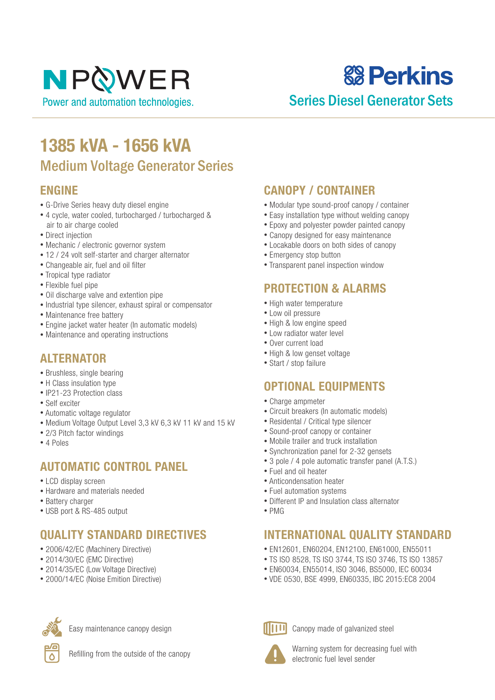# **& Perkins**

### Series Diesel Generator Sets

## **1385 kVA - 1656 kVA** Medium Voltage Generator Series

#### **ENGINE**

- G-Drive Series heavy duty diesel engine
- 4 cycle, water cooled, turbocharged / turbocharged & air to air charge cooled
- Direct injection
- Mechanic / electronic governor system
- 12 / 24 volt self-starter and charger alternator
- Changeable air, fuel and oil filter
- Tropical type radiator
- Flexible fuel pipe
- Oil discharge valve and extention pipe
- Industrial type silencer, exhaust spiral or compensator
- Maintenance free battery
- Engine jacket water heater (In automatic models)
- Maintenance and operating instructions

#### **ALTERNATOR**

- Brushless, single bearing
- H Class insulation type
- IP21-23 Protection class
- Self exciter
- Automatic voltage regulator
- Medium Voltage Output Level 3,3 kV 6,3 kV 11 kV and 15 kV
- 2/3 Pitch factor windings
- 4 Poles

#### **AUTOMATIC CONTROL PANEL**

- LCD display screen
- Hardware and materials needed
- Battery charger
- USB port & RS-485 output

#### **QUALITY STANDARD DIRECTIVES**

- 2006/42/EC (Machinery Directive)
- 2014/30/EC (EMC Directive)
- 2014/35/EC (Low Voltage Directive)
- 2000/14/EC (Noise Emition Directive)



Easy maintenance canopy design



Refilling from the outside of the canopy

#### **CANOPY / CONTAINER**

- Modular type sound-proof canopy / container
- Easy installation type without welding canopy
- Epoxy and polyester powder painted canopy
- Canopy designed for easy maintenance
- Locakable doors on both sides of canopy
- Emergency stop button
- Transparent panel inspection window

#### **PROTECTION & ALARMS**

- High water temperature
- Low oil pressure
- High & low engine speed
- Low radiator water level
- Over current load
- High & low genset voltage
- Start / stop failure

#### **OPTIONAL EQUIPMENTS**

- Charge ampmeter
- Circuit breakers (In automatic models)
- Residental / Critical type silencer
- Sound-proof canopy or container
- Mobile trailer and truck installation
- Synchronization panel for 2-32 gensets
- 3 pole / 4 pole automatic transfer panel (A.T.S.)
- Fuel and oil heater
- Anticondensation heater
- Fuel automation systems
- Different IP and Insulation class alternator
- PMG

#### **INTERNATIONAL QUALITY STANDARD**

- EN12601, EN60204, EN12100, EN61000, EN55011
- TS ISO 8528, TS ISO 3744, TS ISO 3746, TS ISO 13857
- EN60034, EN55014, ISO 3046, BS5000, IEC 60034
- VDE 0530, BSE 4999, EN60335, IBC 2015:EC8 2004



Canopy made of galvanized steel

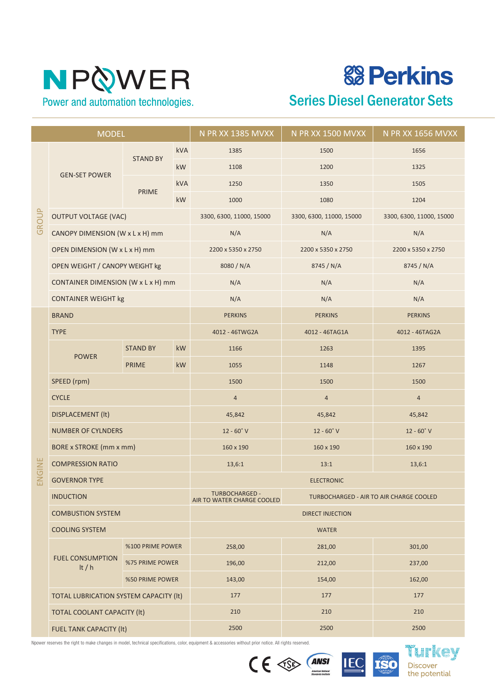# **& Perkins**

Series Diesel Generator Sets

| <b>MODEL</b> |                                        |                  |           | N PR XX 1385 MVXX                                   | N PR XX 1500 MVXX                       | N PR XX 1656 MVXX        |  |
|--------------|----------------------------------------|------------------|-----------|-----------------------------------------------------|-----------------------------------------|--------------------------|--|
| GROUP        |                                        |                  | kVA       | 1385                                                | 1500                                    | 1656                     |  |
|              |                                        | <b>STAND BY</b>  | <b>kW</b> | 1108                                                | 1200                                    | 1325                     |  |
|              | <b>GEN-SET POWER</b>                   |                  | kVA       | 1250                                                | 1350                                    | 1505                     |  |
|              |                                        | <b>PRIME</b>     | kW        | 1000                                                | 1080                                    | 1204                     |  |
|              | <b>OUTPUT VOLTAGE (VAC)</b>            |                  |           | 3300, 6300, 11000, 15000                            | 3300, 6300, 11000, 15000                | 3300, 6300, 11000, 15000 |  |
|              | CANOPY DIMENSION (W x L x H) mm        |                  |           | N/A                                                 | N/A                                     | N/A                      |  |
|              | OPEN DIMENSION (W x L x H) mm          |                  |           | 2200 x 5350 x 2750                                  | 2200 x 5350 x 2750                      | 2200 x 5350 x 2750       |  |
|              | OPEN WEIGHT / CANOPY WEIGHT kg         |                  |           | 8080 / N/A                                          | 8745 / N/A                              | 8745 / N/A               |  |
|              | CONTAINER DIMENSION (W x L x H) mm     |                  |           | N/A                                                 | N/A                                     | N/A                      |  |
|              | <b>CONTAINER WEIGHT kg</b>             |                  |           | N/A                                                 | N/A                                     | N/A                      |  |
|              | <b>BRAND</b>                           |                  |           | <b>PERKINS</b>                                      | <b>PERKINS</b>                          | <b>PERKINS</b>           |  |
|              | <b>TYPE</b>                            |                  |           | 4012 - 46TWG2A                                      | 4012 - 46TAG1A                          | 4012 - 46TAG2A           |  |
|              | <b>POWER</b>                           | <b>STAND BY</b>  | kW        | 1166                                                | 1263                                    | 1395                     |  |
|              |                                        | <b>PRIME</b>     | kW        | 1055                                                | 1148                                    | 1267                     |  |
|              | SPEED (rpm)                            |                  |           | 1500                                                | 1500                                    | 1500                     |  |
|              | <b>CYCLE</b>                           |                  |           | $\overline{4}$                                      | $\overline{4}$                          | $\overline{4}$           |  |
|              | <b>DISPLACEMENT (It)</b>               |                  |           | 45,842                                              | 45,842                                  | 45,842                   |  |
|              | <b>NUMBER OF CYLNDERS</b>              |                  |           | $12 - 60°V$                                         | $12 - 60°$ V                            | $12 - 60°V$              |  |
|              | <b>BORE x STROKE (mm x mm)</b>         |                  |           | 160 x 190                                           | 160 x 190                               | 160 x 190                |  |
| ENGINE       | <b>COMPRESSION RATIO</b>               |                  |           | 13,6:1                                              | 13:1<br>13,6:1                          |                          |  |
|              | <b>GOVERNOR TYPE</b>                   |                  |           | <b>ELECTRONIC</b>                                   |                                         |                          |  |
|              | <b>INDUCTION</b>                       |                  |           | <b>TURBOCHARGED -</b><br>AIR TO WATER CHARGE COOLED | TURBOCHARGED - AIR TO AIR CHARGE COOLED |                          |  |
|              | <b>COMBUSTION SYSTEM</b>               |                  |           | <b>DIRECT INJECTION</b>                             |                                         |                          |  |
|              | <b>COOLING SYSTEM</b>                  |                  |           | <b>WATER</b>                                        |                                         |                          |  |
|              |                                        | %100 PRIME POWER |           | 258,00                                              | 281,00                                  | 301,00                   |  |
|              | <b>FUEL CONSUMPTION</b><br>It / $h$    | %75 PRIME POWER  |           | 196,00                                              | 212,00                                  | 237,00                   |  |
|              |                                        | %50 PRIME POWER  |           | 143,00                                              | 154,00                                  | 162,00                   |  |
|              | TOTAL LUBRICATION SYSTEM CAPACITY (It) |                  |           | 177                                                 | 177                                     | 177                      |  |
|              | TOTAL COOLANT CAPACITY (It)            |                  |           | 210                                                 | 210                                     | 210                      |  |
|              | FUEL TANK CAPACITY (It)                |                  |           | 2500                                                | 2500                                    | 2500                     |  |





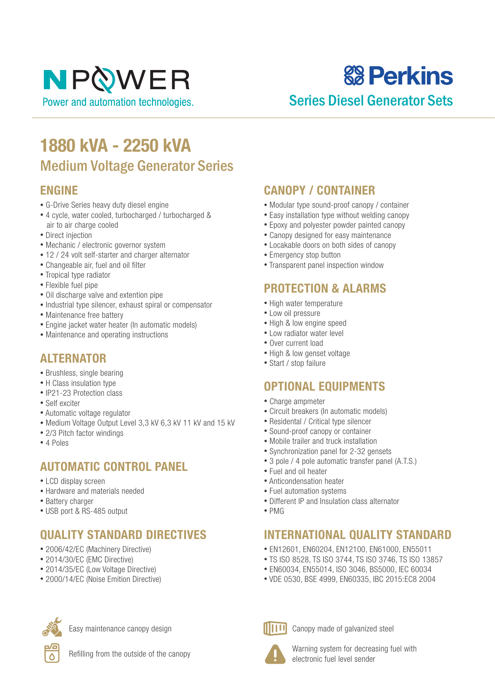# **& Perkins**

### Series Diesel Generator Sets

## **1880 kVA - 2250 kVA** Medium Voltage Generator Series

#### **ENGINE**

- G-Drive Series heavy duty diesel engine
- 4 cycle, water cooled, turbocharged / turbocharged & air to air charge cooled
- Direct injection
- Mechanic / electronic governor system
- 12 / 24 volt self-starter and charger alternator
- Changeable air, fuel and oil filter
- Tropical type radiator
- Flexible fuel pipe
- Oil discharge valve and extention pipe
- Industrial type silencer, exhaust spiral or compensator
- Maintenance free battery
- Engine jacket water heater (In automatic models)
- Maintenance and operating instructions

#### **ALTERNATOR**

- Brushless, single bearing
- H Class insulation type
- IP21-23 Protection class
- Self exciter
- Automatic voltage regulator
- Medium Voltage Output Level 3,3 kV 6,3 kV 11 kV and 15 kV
- 2/3 Pitch factor windings
- 4 Poles

#### **AUTOMATIC CONTROL PANEL**

- LCD display screen
- Hardware and materials needed
- Battery charger
- USB port & RS-485 output

#### **QUALITY STANDARD DIRECTIVES**

- 2006/42/EC (Machinery Directive)
- 2014/30/EC (EMC Directive)
- 2014/35/EC (Low Voltage Directive)
- 2000/14/EC (Noise Emition Directive)



Easy maintenance canopy design



Refilling from the outside of the canopy

#### **CANOPY / CONTAINER**

- Modular type sound-proof canopy / container
- Easy installation type without welding canopy
- Epoxy and polyester powder painted canopy
- Canopy designed for easy maintenance
- Locakable doors on both sides of canopy
- Emergency stop button
- Transparent panel inspection window

#### **PROTECTION & ALARMS**

- High water temperature
- Low oil pressure
- High & low engine speed
- Low radiator water level
- Over current load
- High & low genset voltage
- Start / stop failure

#### **OPTIONAL EQUIPMENTS**

- Charge ampmeter
- Circuit breakers (In automatic models)
- Residental / Critical type silencer
- Sound-proof canopy or container
- Mobile trailer and truck installation
- Synchronization panel for 2-32 gensets
- 3 pole / 4 pole automatic transfer panel (A.T.S.)
- Fuel and oil heater
- Anticondensation heater
- Fuel automation systems
- Different IP and Insulation class alternator
- PMG

#### **INTERNATIONAL QUALITY STANDARD**

- EN12601, EN60204, EN12100, EN61000, EN55011
- TS ISO 8528, TS ISO 3744, TS ISO 3746, TS ISO 13857
- EN60034, EN55014, ISO 3046, BS5000, IEC 60034
- VDE 0530, BSE 4999, EN60335, IBC 2015:EC8 2004



Canopy made of galvanized steel

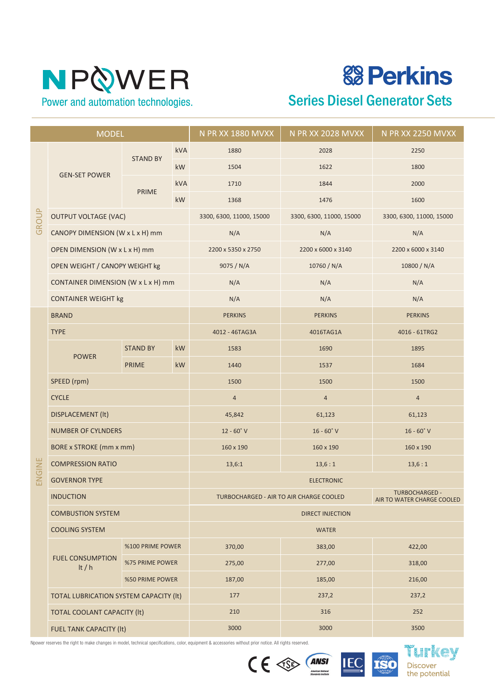**& Perkins** 

Series Diesel Generator Sets

| <b>MODEL</b> |                                        |                  |            | N PR XX 1880 MVXX                       | N PR XX 2028 MVXX                                   | N PR XX 2250 MVXX        |  |
|--------------|----------------------------------------|------------------|------------|-----------------------------------------|-----------------------------------------------------|--------------------------|--|
| GROUP        |                                        |                  | kVA        | 1880<br>2028                            |                                                     | 2250                     |  |
|              |                                        | <b>STAND BY</b>  | <b>kW</b>  | 1504                                    | 1622                                                | 1800                     |  |
|              | <b>GEN-SET POWER</b>                   |                  | <b>kVA</b> | 1710                                    | 1844                                                | 2000                     |  |
|              |                                        | <b>PRIME</b>     | kW         | 1368                                    | 1476                                                | 1600                     |  |
|              | <b>OUTPUT VOLTAGE (VAC)</b>            |                  |            | 3300, 6300, 11000, 15000                | 3300, 6300, 11000, 15000                            | 3300, 6300, 11000, 15000 |  |
|              | CANOPY DIMENSION (W x L x H) mm        |                  |            | N/A                                     | N/A                                                 | N/A                      |  |
|              | OPEN DIMENSION (W x L x H) mm          |                  |            | 2200 x 5350 x 2750                      | 2200 x 6000 x 3140                                  | 2200 x 6000 x 3140       |  |
|              | OPEN WEIGHT / CANOPY WEIGHT kg         |                  |            | 9075 / N/A                              | 10760 / N/A                                         | 10800 / N/A              |  |
|              | CONTAINER DIMENSION (W x L x H) mm     |                  |            | N/A                                     | N/A                                                 | N/A                      |  |
|              | <b>CONTAINER WEIGHT kg</b>             |                  |            | N/A                                     | N/A                                                 | N/A                      |  |
|              | <b>BRAND</b>                           |                  |            | <b>PERKINS</b>                          | <b>PERKINS</b>                                      | <b>PERKINS</b>           |  |
|              | <b>TYPE</b>                            |                  |            | 4012 - 46TAG3A                          | 4016TAG1A                                           | 4016 - 61TRG2            |  |
|              | <b>POWER</b>                           | <b>STAND BY</b>  | kW         | 1583                                    | 1690                                                | 1895                     |  |
|              |                                        | <b>PRIME</b>     | kW         | 1440                                    | 1537                                                | 1684                     |  |
|              | SPEED (rpm)                            |                  |            | 1500                                    | 1500                                                | 1500                     |  |
|              | <b>CYCLE</b>                           |                  |            | $\overline{4}$                          | $\overline{4}$                                      | $\overline{4}$           |  |
|              | <b>DISPLACEMENT (It)</b>               |                  |            | 45,842                                  | 61,123                                              | 61,123                   |  |
|              | <b>NUMBER OF CYLNDERS</b>              |                  |            | $12 - 60°V$                             | $16 - 60°$ V                                        | $16 - 60°V$              |  |
|              | <b>BORE x STROKE (mm x mm)</b>         |                  |            | 160 x 190                               | 160 x 190                                           | 160 x 190                |  |
| ENGINE       | <b>COMPRESSION RATIO</b>               |                  |            | 13,6:1                                  | 13,6:1                                              | 13,6:1                   |  |
|              | <b>GOVERNOR TYPE</b>                   |                  |            | <b>ELECTRONIC</b>                       |                                                     |                          |  |
|              | <b>INDUCTION</b>                       |                  |            | TURBOCHARGED - AIR TO AIR CHARGE COOLED | <b>TURBOCHARGED -</b><br>AIR TO WATER CHARGE COOLED |                          |  |
|              | <b>COMBUSTION SYSTEM</b>               |                  |            | <b>DIRECT INJECTION</b>                 |                                                     |                          |  |
|              | <b>COOLING SYSTEM</b>                  |                  |            | <b>WATER</b>                            |                                                     |                          |  |
|              |                                        | %100 PRIME POWER |            | 370,00                                  | 383,00                                              | 422,00                   |  |
|              | <b>FUEL CONSUMPTION</b><br>It $/h$     | %75 PRIME POWER  |            | 275,00                                  | 277,00                                              | 318,00                   |  |
|              |                                        | %50 PRIME POWER  |            | 187,00                                  | 185,00                                              | 216,00                   |  |
|              | TOTAL LUBRICATION SYSTEM CAPACITY (It) |                  |            | 177                                     | 237,2                                               | 237,2                    |  |
|              | <b>TOTAL COOLANT CAPACITY (It)</b>     |                  |            | 210                                     | 316                                                 | 252                      |  |
|              | FUEL TANK CAPACITY (It)                |                  |            | 3000                                    | 3000                                                | 3500                     |  |

Npower reserves the right to make changes in model, technical specifications, color, equipment & accessories without prior notice. All rights reserved.





III KOV **Discover** the potential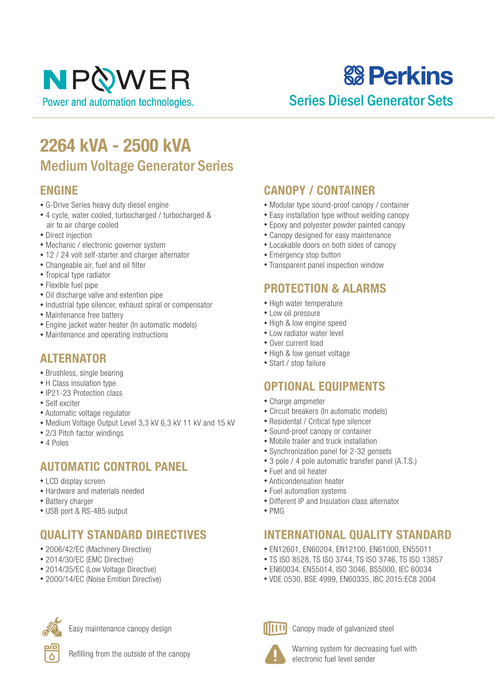**& Perkins** 

### Series Diesel Generator Sets

## **2264 kVA - 2500 kVA** Medium Voltage Generator Series

#### **ENGINE**

- G-Drive Series heavy duty diesel engine
- 4 cycle, water cooled, turbocharged / turbocharged & air to air charge cooled
- Direct injection
- Mechanic / electronic governor system
- 12 / 24 volt self-starter and charger alternator
- Changeable air, fuel and oil filter
- Tropical type radiator
- Flexible fuel pipe
- Oil discharge valve and extention pipe
- Industrial type silencer, exhaust spiral or compensator
- Maintenance free battery
- Engine jacket water heater (In automatic models)
- Maintenance and operating instructions

#### **ALTERNATOR**

- Brushless, single bearing
- H Class insulation type
- IP21-23 Protection class
- Self exciter
- Automatic voltage regulator
- Medium Voltage Output Level 3,3 kV 6,3 kV 11 kV and 15 kV
- 2/3 Pitch factor windings
- 4 Poles

#### **AUTOMATIC CONTROL PANEL**

- LCD display screen
- Hardware and materials needed
- Battery charger
- USB port & RS-485 output

#### **QUALITY STANDARD DIRECTIVES**

- 2006/42/EC (Machinery Directive)
- 2014/30/EC (EMC Directive)
- 2014/35/EC (Low Voltage Directive)
- 2000/14/EC (Noise Emition Directive)



Easy maintenance canopy design



Refilling from the outside of the canopy

#### **CANOPY / CONTAINER**

- Modular type sound-proof canopy / container
- Easy installation type without welding canopy
- Epoxy and polyester powder painted canopy
- Canopy designed for easy maintenance
- Locakable doors on both sides of canopy
- Emergency stop button
- Transparent panel inspection window

#### **PROTECTION & ALARMS**

- High water temperature
- Low oil pressure
- High & low engine speed
- Low radiator water level
- Over current load
- High & low genset voltage
- Start / stop failure

#### **OPTIONAL EQUIPMENTS**

- Charge ampmeter
- Circuit breakers (In automatic models)
- Residental / Critical type silencer
- Sound-proof canopy or container
- Mobile trailer and truck installation
- Synchronization panel for 2-32 gensets
- 3 pole / 4 pole automatic transfer panel (A.T.S.)
- Fuel and oil heater
- Anticondensation heater
- Fuel automation systems
- Different IP and Insulation class alternator
- PMG

#### **INTERNATIONAL QUALITY STANDARD**

- EN12601, EN60204, EN12100, EN61000, EN55011
- TS ISO 8528, TS ISO 3744, TS ISO 3746, TS ISO 13857
- EN60034, EN55014, ISO 3046, BS5000, IEC 60034
- VDE 0530, BSE 4999, EN60335, IBC 2015:EC8 2004



Canopy made of galvanized steel